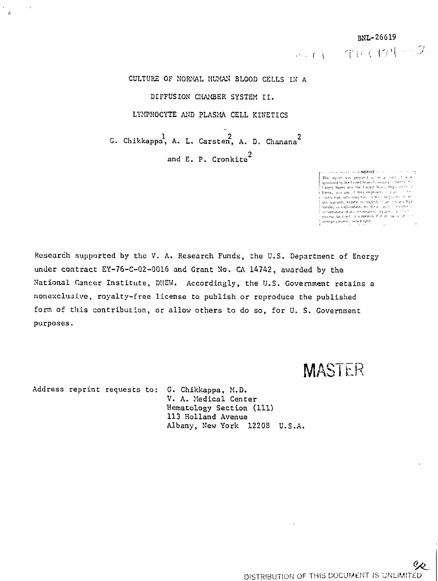r en  $r = r$ r en  $r = 2$ .

CULTURE OF NORMAL HUMAN BLOOD CELLS IN A DIFFUSION CHAMBER SYSTEM II. LYMPHOCYTE AND PLASMA CELL KINETICS

 $\frac{1}{2}$   $\frac{1}{2}$   $\frac{1}{2}$   $\frac{1}{2}$   $\frac{2}{2}$   $\frac{1}{2}$   $\frac{1}{2}$   $\frac{2}{2}$ G. Chikkappa, A. L, Carsten, A. D, Chanana and E. P. Cronkite<sup>2</sup>

> $\begin{minipage}{0.9\textwidth} \begin{tabular}{|c|c|c|c|} \hline \textbf{P} & \textbf{R} & \textbf{R} & \textbf{R} & \textbf{R} & \textbf{R} & \textbf{R} & \textbf{R} & \textbf{R} & \textbf{R} & \textbf{R} & \textbf{R} & \textbf{R} & \textbf{R} & \textbf{R} & \textbf{R} & \textbf{R} & \textbf{R} & \textbf{R} & \textbf{R} & \textbf{R} & \textbf{R} & \textbf{R} & \textbf{R} & \textbf{R} & \textbf{R} & \textbf{R$  $\cdots$  . The contract contract  $\mathsf{NOTICE} \leq \cdots$ ومنعا المناسب

Research supported by the V. A. Research Funds, the U.S. Department of Energy under contract EY-76-C-Q2-0Q16 and Grant No. CA 14742, awarded by the National Cancer Institute, DUEW. Accordingly, the U.S. Government retains a nonexclusive, royalty-free license to publish or reproduce the published form of this contribution, or allow others to do so, for U. S. Government purposes.

MASTER

Address reprint requests to: G. Chikkappa, M.D.

 $\alpha$ 

V. A. Medical Center Hematology Section (111) 113 Holland Avenue Albany, New York 12208 U.S.A.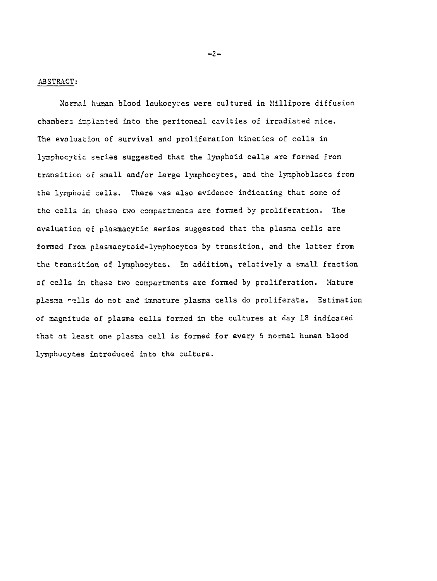ABSTRACT:

Normal human blood leukocytes were cultured in Millipore diffusion chambers implanted into the peritoneal cavities of irradiated mice. The evaluation of survival and proliferation kinetics of cells in lymphocytic series suggested that the lymphoid cells are formed from transition of small and/or large lymphocytes, and the lyraphoblssts from the lymphoid cells. There was also evidence indicating that some of the cells in these two compartments are formed by proliferation. The evaluation of plasmacytic series suggested that the plasma cells are formed from plasmacytoid-lynphocytes by transition, and the latter from the transition of lymphocytes. In addition, relatively a small fraction of cells in these two compartments are formed by proliferation. Mature plasma rells do not and immature plasma cells do proliferate. Estimation of magnitude of plasma cells formed in the cultures at day 18 indicated that at least one plasma cell is formed for every 6 normal human blood lymphocytes introduced into the culture.

—2—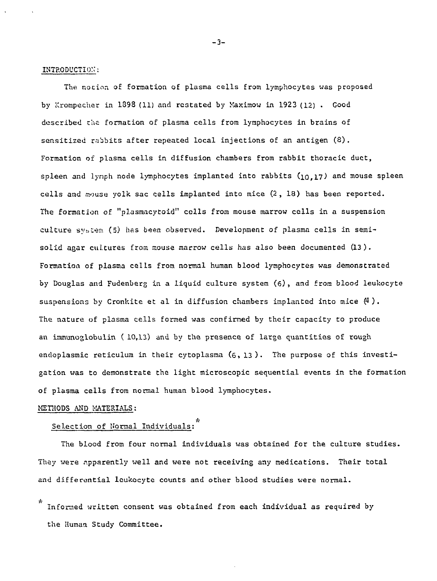#### INTRODUCTION:

The nocion of formation of plasma cells from lymphocytes was proposed by Krorapecher in 1398 (11) and restated by Xaximow in 1923 (12) . Good described ths formation of plasma cells from lymphocytes in brains of sensitised rabbits after repeated local injections of an antigen (8). Formation of plasma cells in diffusion chambers from rabbit thoracic duct, spleen and lynph node lymphocytes implanted into rabbits  $(10,17)$  and mouse spleen cells and mouse yolk sac cells implanted into mice (2, 18) has been reported. The formation of "plasmacytoid" cells from mouse marrow cells in a suspension culture system (5) has been observed. Development of plasma cells in semisolid agar cultures from mouse marrow cells has also been documented (13). Formation of plasma cells from normal human blood lymphocytes was demonstrated by Douglas and Fudenberg in a liquid culture system (6), and from blood leukocyte suspensions by Cronkite et al in diffusion chambers implanted into mice  $(4)$ . The nature of plasma cells formed was confirmed by their capacity to produce an immunoglobulin (10,13) and by the presence of large quantities of rough endoplasmic reticulum in their cytoplasma (6, 13). The purpose of this investigation was to demonstrate the light microscopic sequential events in the formation of plasma cells from normal human blood lymphocytes.

#### METHODS AND MATERIALS:

# Selection of Normal Individuals:

The blood from four normal individuals was obtained for the culture studies. They were apparently well and were not receiving any medications. Their total and differential leukocyte counts and other blood studies were normal.

Informed written consent was obtained from each individual as required by the Human Study Committee.

\*

-3-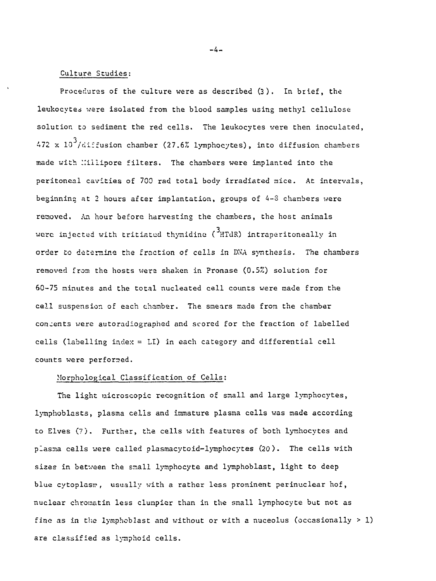#### Culture Studies:

Procedures of the culture were as described (3). In brief, the leukocytes were isolated from the blood samples using methyl cellulose solution to sediment the red cells. The leukocytes were then inoculated,  $472 \times 10^3$ /diffusion chamber (27.6% lymphocytes), into diffusion chambers made with Millipore filters. The chambers were implanted into the peritoneal cavities of 700 rad total body irradiated mice. At intervals, beginning at 2 hours after implantation, groups of 4-8 chambers were removed. An hour before harvesting the chambers, the host animals were injected with tritiated thymidine  $\binom{3}{1}$  HTdR) intraperitoneally in order to determine the fraction of cells in DMA synthesis. The chambers removed from the hosts wers shaken in Pronase (0.5%) solution for 60-75 minutes and the total nucleated cell counts were made from the cell suspension of each chamber. The smears made from the chamber consents were autoradiographed and scored for the fraction of labelled cells (labelling index = LI) in each category and differential cell counts were performed.

# Morphological Classification of Cells;

The light microscopic recognition of small and large lymphocytes, lymphoblasts, plasma cells and immature plasma cells was made according to Elves (7). Further, the cells with features of both lyrnhocytes and plasma cells were called plasmacytoid-lymphocytes (20). The cells with sizes in between the small lymphocyte and lymphoblast, light to deep blue cytoplasm, usually with a rather less prominent perinuclear hof, nuclear chromatin less clumpier than in the small lymphocyte but not as fine as in the lymphoblast and without or with a nuceolus (occasionally > 1) are classified as lymphoid cells.

 $-4-$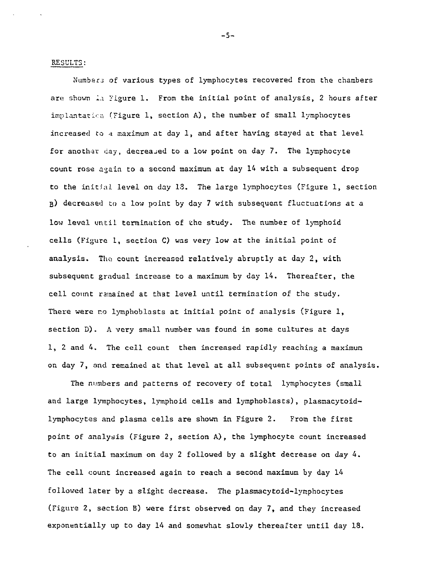#### RESULTS:

Numbers of various types of lymphocytes recovered from the chambers are shown in Figure 1. From the initial point of analysis, 2 hours after implantatica (Figure 1, section A), the number of small lymphocytes increased to a maximum at day 1, and after having stayed at that level for another day, decreased to a low point on day 7. The lymphocyte count rose again to a second maximum at day 14 with a subsequent drop to the initial level on day 13. The large lymphocytes (Figure 1, section B) decreased to a low point by day 7 with subsequent fluctuations at a low level until termination of the study. The number of lymphoid cells (Figure 1, section C) was very low at the initial point of analysis. The count increased relatively abruptly at day 2, with subsequent gradual increase to a maximum by day 14. Thereafter, the cell count ramained at that level until termination of the study. There were no lymphoblasts at initial point of analysis (Figure 1, section D). A very small number was found in some cultures at days 1, 2 and 4. The cell count then increased rapidly reaching a maximum on day 7, and remained at that level at all subsequent points of analysis.

The numbers and patterns of recovery of total lymphocytes (small and large lymphocytes, lymphoid cells and lymphoblasts), plasmacytoidlymphocytes and plasma cells are shown in Figure 2. From the first point of analysis (Figure 2, section A) , the lymphocyte count increased to an initial maximum on day 2 followed by a slight decrease on day 4. The cell count increased again to reach a second maximum by day 14 followed later by a slight decrease. The plasmacytoid-lynphocytes (Figure 2, section B) were first observed on day 7, and they increased exponentially up to day 14 and somewhat slowly thereafter until day 18.

-5-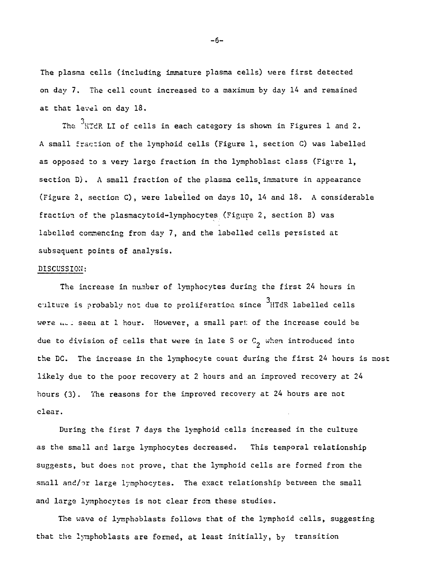The plasma cells (including immature plasma cells) were first detected on day 7. The cell count increased to a maximum by day 14 and remained at that level on day 18.

The  $3_{\rm H}$ TdR LI of cells in each category is shown in Figures 1 and 2. A small fraction of the lymphoid cells (Figure 1, section C) was labelled as opposed to a very large fraction in the lymphoblast class (Figvre 1, section D). A small fraction of the plasma cells, immature in appearance (Figure 2, section C), were labelled on days 10, 14 and 18. A considerable fraction of the plasmacytoid-lymphocytes (Figure 2, section B) was labelled commencing from day 7, and the labelled cells persisted at subsequent points of analysis.

# DISCUSSION:

The increase in number of lymphocytes during the first 24 hours in culture is probably not due to proliferation since HTdR labelled cells were ut I seen at 1 hour. However, a small part of the increase could be due to division of cells that were in late S or  $C^2$  when introduced into the DC. The increase in the lymphocyte count during the first 24 hours is most likely due to the poor recovery at 2 hours and an improved recovery at 24 hours (3). The reasons for the improved recovery at 24 hours are not clear.

During the first 7 days the lymphoid cells increased in the culture as the small and large lymphocytes decreased. This temporal relationship suggests, but does not prove, that the lymphoid cells are formed from the small and/or large lymphocytes. The exact relationship between the small and large lymphocytes is not clear from these studies.

The wave of lymphoblasts follows that of the lymphoid cells, suggesting that the lymphoblasts are formed, at least initially, by transition

-6-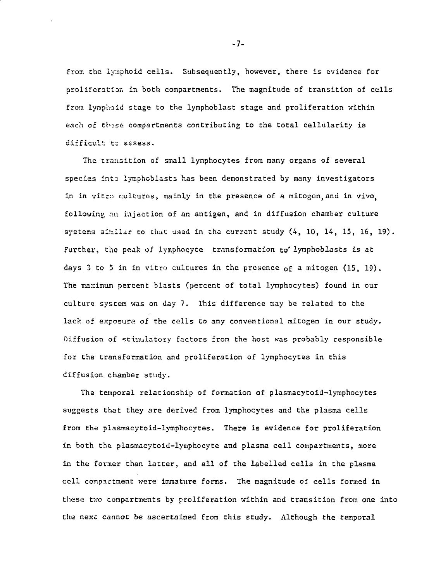from the iymphoid cells. Subsequently, however, there is evidence for proliferation in both compartments. The magnitude of transition of cells from lymphoid stage to the lymphoblast stage and proliferation within each of those compartments contributing to the total cellularity is difficult to assess.

The transition of small lymphocytes from many organs of several species into lyraphoblasts has been demonstrated by many investigators in in vitro cultures, mainly in the presence of a mitogen,and in vivo, following an injection of an antigen, and in diffusion chamber culture systems similar to that used in the current study (4, 10, 14, 15, 16, 19). Further, the peak of lymphocyte transformation to lymphoblasts is at days 3 to 5 in in vitro cultures in the presence of a mitogen (15, 19). The maximum percent blasts (percent of total lymphocytes) found in our culture syscen was on day 7. This difference may be related to the lack of exposure of the cells to any conventional mitogen in our study. Diffusion of stimulatory factors from the host was probably responsible for the transformation and proliferation of lymphocytes in this diffusion chamber study.

The temporal relationship of formation of plasmacytoid-lymphocytes suggests that they are derived from lymphocytes and the plasma cells from the plasmacytoid-lymphocytes. There is evidence for proliferation in both the plasmacytoid-lymphocyte and plasma cell compartments, more in the former than latter, and all of the labelled cells in the plasma coll compartment were immature forms. The magnitude of cells formed in. these two compartments by proliferation within and transition from one into the next cannot be ascertained from this study. Although the temporal

-7-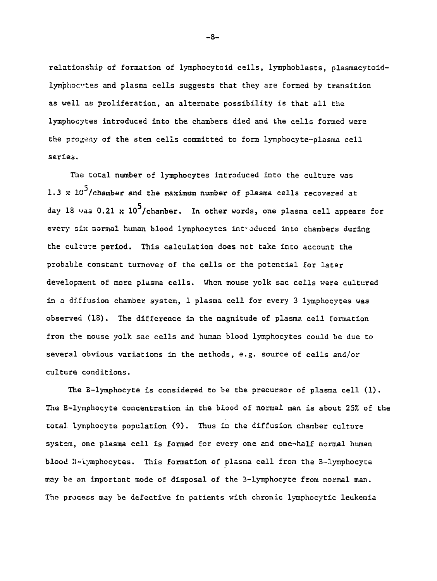relationship of formation of lymphocytoid cells, lymphoblasts, plasmacytoidlymphocvtes and plasma cells suggests that they are formed by transition as wall as proliferation, an alternate possibility is that all the lymphocytes introduced into the chambers died and the cells formed were the progeny of the stem cells committed to form lymphocyte-plasma cell series.

The total number of lymphocytes introduced into the culture was 1.3  $\times$  10<sup>5</sup>/chamber and the maximum number of plasma cells recovered at day 18 was 0.21 x  $10^5$ /chamber. In other words, one plasma cell appears for every nix normal human blood lymphocytes introduced into chambers during the culture period. This calculation does not take into account the probable constant turnover of the cells or the potential for later development of more plasma cells. When mouse yolk sac cells were cultured in a diffusion chamber system, 1 plasma cell for every 3 lymphocytes was observed (18). The difference in the magnitude of plasma cell formation from the mouse yolk sac cells and human blood lymphocytes could be due to several obvious variations in the methods, e.g. source of cells and/or culture conditions.

The B-lymphocyte is considered to be the precursor of plasma cell  $(1)$ . The B-lymphocyte concentration in the blood of normal man is about 25% of the total lymphocyte population (9). Thus in the diffusion chamber culture system, one plasma cell is formed for every one and one-half normal human blood B-iymphocytes. This formation of plasma cell from the B-lymphocyte may ba an important mode of disposal of the B-lymphocyte from normal man. The process may be defective in patients with chronic lymphocytic leukemia

-8-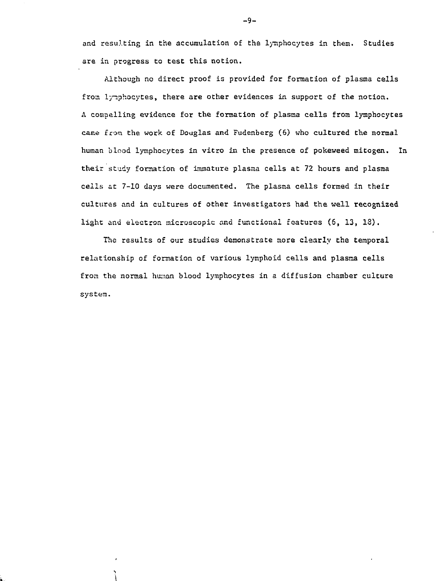and resulting in the accumulation of the lymphocytes in them. Studies are in progress to test this notion.

Although no direct proof is provided for formation of plasma cells from lymphocytes, there are other evidences in support of the notion. A compelling evidence for the formation of plasms cells from lymphocytes came from the work of Douglas and Fudenberg (6) who cultured the normal human blood lymphocytes in vitro in the presence of pokeweed mitogen. In their study formation of immature plasma cells at 72 hours and plasma cells at 7-10 days were documented. The plasma cells formed in their cultures and in cultures of other investigators had the well recognized light and electron microscopic and functional features (6, 13, IS).

The results of our studies demonstrate more clearly the temporal relationship of formation of various lymphoid cells and plasma cells from the normal human blood lymphocytes in a diffusion chamber culture system.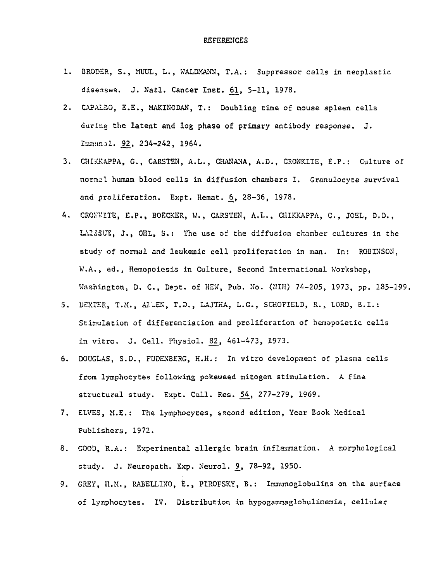- 1. BRODSR, S., MUUL, L., WALDMANN, T.A.: Suppressor calls in neoplastic diseases. J. Natl. Cancer Inst. 61, 5-11, 1978.
- 2. CAPALSO, E.E., MAKINODAN, T.: Doubling time of mouse spleen cells during the latent and log phase of primary antibody response. J. Immunol. 92, 234-242, 1964.
- 3. CHIKKAPPA, G., CARSTEN, A.L., CHANANA, A.D., CRONKITE, E.P.: Culture of normal human blood cells in diffusion chambers I. Granulocyte survival and proliferation. Expt. Hemat. 6, 28-36, 1978.
- 4. CROMUITE, E.P., BOECKER, W., CARSTEN, A.L., CHIKKAPPA, G., JOEL, D.D., LAISSUE, J., OHL, S.: The use of the diffusion chamber cultures in the study of normal and leukemic cell proliferation in man. In: ROBINSON, W.A., ed., Hemopoiesis in Culture, Second International Workshop, Washington, D. C., Dept. of HEW, Pub. No. (NIH) 74-205, 1973, pp. 185-199.
- 5. DEXTER, T.M., ALLEN, T.D., LAJTHA, L.G., SCHOFIELD, R., LORD, B.I.: Stimulation of differentiation and proliferation of hemopoietic cells in vitro. J. Cell. Physiol. 82\_, 461-473, 1973.
- 6. DOUGLAS, S.D., FUDENBESG, H.H.: In vitro development of plasma cells from lymphocytes following pokeweed mitogen stimulation. A fine structural study. Expt. Cell. Res. 54, 277-279, 1969.
- 7. ELVES, M.E.: The lymphocytes, second edition, Year Book Medical Publishers, 1972.
- 8. GOOD, R.A.: Experimental allergic brain inflammation. A morphological study. J. Neuropath. Exp. Neurol. 9, 78-92, 1950.
- 9. GREY, H.M., RABELLINO, E., PIROFSKY, B.: Immunoglobulins on the surface of lymphocytes. IV. Distribution in hypogammaglobulinemia, cellular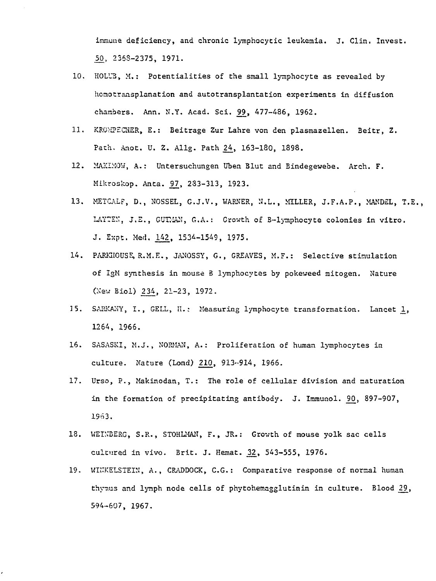immune deficiency, and chronic lymphocytic leukemia. J. Clin. Invest. SO, 235S-2375, 1971.

- 10. HOLU3, M.: Potentialities of the small lymphocyte as revealed by homotransplanation and autotransplantation experiments in diffusion chambers. Ann. N.Y. Acad. Sci. 99, 477-486, 1962.
- 11. KRGMPECKER, E.: Beitrage Zur Lahre von den plasmazellen. Beitr, Z. Path. Anot. U. Z. Allg. Path 24., 163-180, 1898.
- 12. MAXIMOW, A.: Untersuchungen Uben Blut and Bindegewebe. Arch. F. Mikroskop. Anta. 97, 233-313, 1923.
- 13. METCALF, D., NOSSEL, G.J.V., WARNER, N.L., MILLER, J.F.A.P., MANDEL, T.E., LAYTEN, J.E., GUTMAN, G.A.: Growth of B-lymphocyte colonies in vitro. J. Expt. Med. 142. 1534-1549. 1975.
- 14. PAREIOUSE, R.M.E., JANOSSY, G., GREAVES, M.F.: Selective stimulation of IgM synthesis in mouse B lymphocytes by pokeweed mitogen. Nature (New Biol) 234, 21-23, 1972.
- 15. SARKANY, I., GELL, H.: Measuring lymphocyte transformation. Lancet 1, 1264, 1966.
- 16. SASASKI, M.J., NORMAN, A.: Proliferation of human lymphocytes in culture. Nature (Lond) 210, 913-914, 1966.
- 17. Urso, P., Makinodan, T.: The role of cellular division and maturation in the formation of precipitating antibody. J. Immunol. 90, 897-907, 1963.
- 18. WEINBERG, S.R., STOHLMAN, F., JR.: Growth of mouse yolk sac cells cultured in vivo. Brit. J. Hemat. 32, 543-555, 1976.
- 19. WIITKELSTEIN, A., CRADDOCK, C.G.: Comparative response of normal human thymus and lymph node cells of phytohemagglutinin in culture. Blood 29, 594-607, 1967.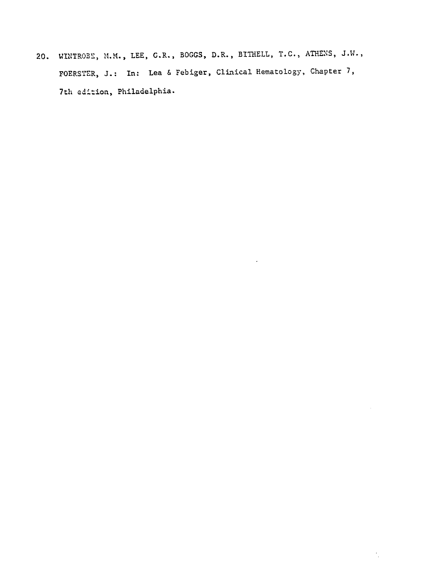20. WINTR03S, M.M. , LEE, G.R., BOGGS, D.R., BITHELL, T.C., ATHENS, J.W., FOERSTER, J.: In: Lea & Febiger, Clinical Hematology, Chapter 7, 7th edition, Philadelphia.

 $\overline{a}$ 

 $\mathcal{F}_{\mu}$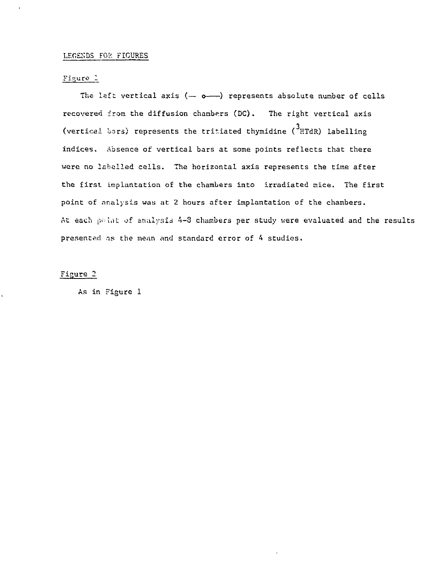# LEGENDS FOR FIGURES

# Figure 1

The left vertical axis  $(-\circ-)$  represents absolute number of cells recovered from the diffusion chambers (DC). The right vertical axis (vertical bars) represents the tritiated thymidine  $(3_H$ HTdR) labelling indices. Absence of vertical bars at some points reflects that there were no labelled cells. The horizontal axis represents the time after the first implantation of the chambers into irradiated mice. The first point of analysis way at 2 hours after implantation of the chambers. At each point of analysis 4-3 chambers per study were evaluated and the results presented as the mean and standard error of 4 studies.

# Figure 2

As in Figure 1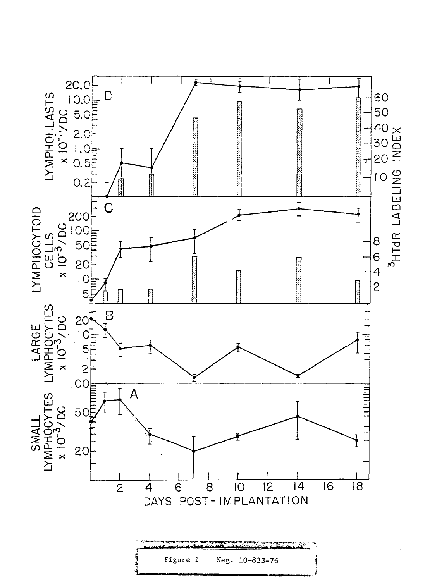